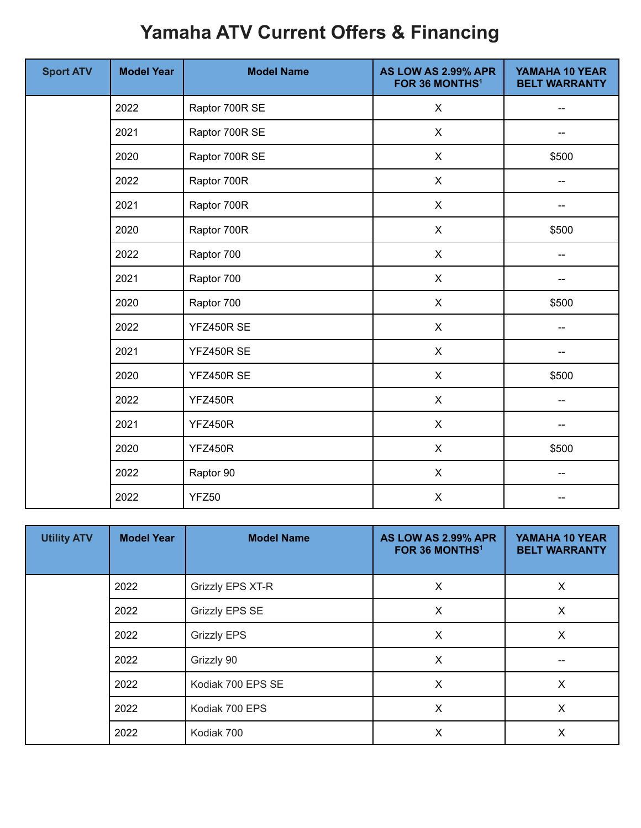## **Yamaha ATV Current Offers & Financing**

| <b>Sport ATV</b> | <b>Model Year</b> | <b>Model Name</b> | AS LOW AS 2.99% APR<br>FOR 36 MONTHS <sup>1</sup> | YAMAHA 10 YEAR<br><b>BELT WARRANTY</b> |
|------------------|-------------------|-------------------|---------------------------------------------------|----------------------------------------|
|                  | 2022              | Raptor 700R SE    | X                                                 | --                                     |
|                  | 2021              | Raptor 700R SE    | X                                                 |                                        |
|                  | 2020              | Raptor 700R SE    | X                                                 | \$500                                  |
|                  | 2022              | Raptor 700R       | X                                                 | $-$                                    |
|                  | 2021              | Raptor 700R       | $\mathsf{X}$                                      | --                                     |
|                  | 2020              | Raptor 700R       | $\mathsf{X}$                                      | \$500                                  |
|                  | 2022              | Raptor 700        | $\mathsf{X}$                                      | $-$                                    |
|                  | 2021              | Raptor 700        | $\mathsf{X}$                                      | --                                     |
|                  | 2020              | Raptor 700        | $\mathsf{X}$                                      | \$500                                  |
|                  | 2022              | YFZ450R SE        | $\pmb{\mathsf{X}}$                                | --                                     |
|                  | 2021              | YFZ450R SE        | $\mathsf{X}$                                      |                                        |
|                  | 2020              | YFZ450R SE        | $\mathsf{X}$                                      | \$500                                  |
|                  | 2022              | <b>YFZ450R</b>    | $\mathsf{X}$                                      | --                                     |
|                  | 2021              | <b>YFZ450R</b>    | X                                                 | --                                     |
|                  | 2020              | <b>YFZ450R</b>    | $\mathsf{X}$                                      | \$500                                  |
|                  | 2022              | Raptor 90         | $\mathsf{X}$                                      | --                                     |
|                  | 2022              | YFZ50             | $\mathsf{X}$                                      |                                        |

| <b>Utility ATV</b> | <b>Model Year</b> | <b>Model Name</b>     | AS LOW AS 2.99% APR<br>FOR 36 MONTHS <sup>1</sup> | YAMAHA 10 YEAR<br><b>BELT WARRANTY</b> |
|--------------------|-------------------|-----------------------|---------------------------------------------------|----------------------------------------|
|                    | 2022              | Grizzly EPS XT-R      | X                                                 | X                                      |
|                    | 2022              | <b>Grizzly EPS SE</b> | X                                                 | X                                      |
|                    | 2022              | <b>Grizzly EPS</b>    | X                                                 | X                                      |
|                    | 2022              | Grizzly 90            | X                                                 |                                        |
|                    | 2022              | Kodiak 700 EPS SE     | $\sf X$                                           | X                                      |
|                    | 2022              | Kodiak 700 EPS        | X                                                 | X                                      |
|                    | 2022              | Kodiak 700            | X                                                 | X                                      |